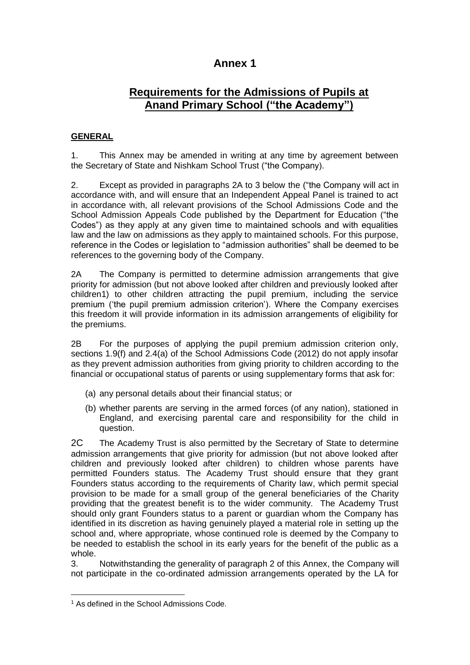# **Annex 1**

# **Requirements for the Admissions of Pupils at Anand Primary School ("the Academy")**

## **GENERAL**

1. This Annex may be amended in writing at any time by agreement between the Secretary of State and Nishkam School Trust ("the Company).

2. Except as provided in paragraphs 2A to 3 below the ("the Company will act in accordance with, and will ensure that an Independent Appeal Panel is trained to act in accordance with, all relevant provisions of the School Admissions Code and the School Admission Appeals Code published by the Department for Education ("the Codes") as they apply at any given time to maintained schools and with equalities law and the law on admissions as they apply to maintained schools. For this purpose, reference in the Codes or legislation to "admission authorities" shall be deemed to be references to the governing body of the Company.

2A The Company is permitted to determine admission arrangements that give priority for admission (but not above looked after children and previously looked after children1) to other children attracting the pupil premium, including the service premium ('the pupil premium admission criterion'). Where the Company exercises this freedom it will provide information in its admission arrangements of eligibility for the premiums.

2B For the purposes of applying the pupil premium admission criterion only, sections 1.9(f) and 2.4(a) of the School Admissions Code (2012) do not apply insofar as they prevent admission authorities from giving priority to children according to the financial or occupational status of parents or using supplementary forms that ask for:

- (a) any personal details about their financial status; or
- (b) whether parents are serving in the armed forces (of any nation), stationed in England, and exercising parental care and responsibility for the child in question.

2C The Academy Trust is also permitted by the Secretary of State to determine admission arrangements that give priority for admission (but not above looked after children and previously looked after children) to children whose parents have permitted Founders status. The Academy Trust should ensure that they grant Founders status according to the requirements of Charity law, which permit special provision to be made for a small group of the general beneficiaries of the Charity providing that the greatest benefit is to the wider community. The Academy Trust should only grant Founders status to a parent or guardian whom the Company has identified in its discretion as having genuinely played a material role in setting up the school and, where appropriate, whose continued role is deemed by the Company to be needed to establish the school in its early years for the benefit of the public as a whole.

3. Notwithstanding the generality of paragraph 2 of this Annex, the Company will not participate in the co-ordinated admission arrangements operated by the LA for

1

<sup>&</sup>lt;sup>1</sup> As defined in the School Admissions Code.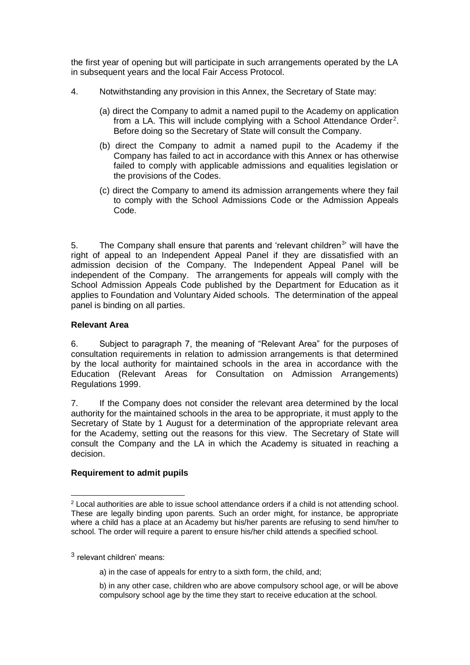the first year of opening but will participate in such arrangements operated by the LA in subsequent years and the local Fair Access Protocol.

- 4. Notwithstanding any provision in this Annex, the Secretary of State may:
	- (a) direct the Company to admit a named pupil to the Academy on application from a LA. This will include complying with a School Attendance Order<sup>2</sup>. Before doing so the Secretary of State will consult the Company.
	- (b) direct the Company to admit a named pupil to the Academy if the Company has failed to act in accordance with this Annex or has otherwise failed to comply with applicable admissions and equalities legislation or the provisions of the Codes.
	- (c) direct the Company to amend its admission arrangements where they fail to comply with the School Admissions Code or the Admission Appeals Code.

5. The Company shall ensure that parents and 'relevant children<sup>3</sup>' will have the right of appeal to an Independent Appeal Panel if they are dissatisfied with an admission decision of the Company. The Independent Appeal Panel will be independent of the Company. The arrangements for appeals will comply with the School Admission Appeals Code published by the Department for Education as it applies to Foundation and Voluntary Aided schools. The determination of the appeal panel is binding on all parties.

### **Relevant Area**

6. Subject to paragraph 7, the meaning of "Relevant Area" for the purposes of consultation requirements in relation to admission arrangements is that determined by the local authority for maintained schools in the area in accordance with the Education (Relevant Areas for Consultation on Admission Arrangements) Regulations 1999.

7. If the Company does not consider the relevant area determined by the local authority for the maintained schools in the area to be appropriate, it must apply to the Secretary of State by 1 August for a determination of the appropriate relevant area for the Academy, setting out the reasons for this view. The Secretary of State will consult the Company and the LA in which the Academy is situated in reaching a decision.

#### **Requirement to admit pupils**

3 relevant children' means:

1

- a) in the case of appeals for entry to a sixth form, the child, and;
- b) in any other case, children who are above compulsory school age, or will be above compulsory school age by the time they start to receive education at the school.

<sup>&</sup>lt;sup>2</sup> Local authorities are able to issue school attendance orders if a child is not attending school. These are legally binding upon parents. Such an order might, for instance, be appropriate where a child has a place at an Academy but his/her parents are refusing to send him/her to school. The order will require a parent to ensure his/her child attends a specified school.